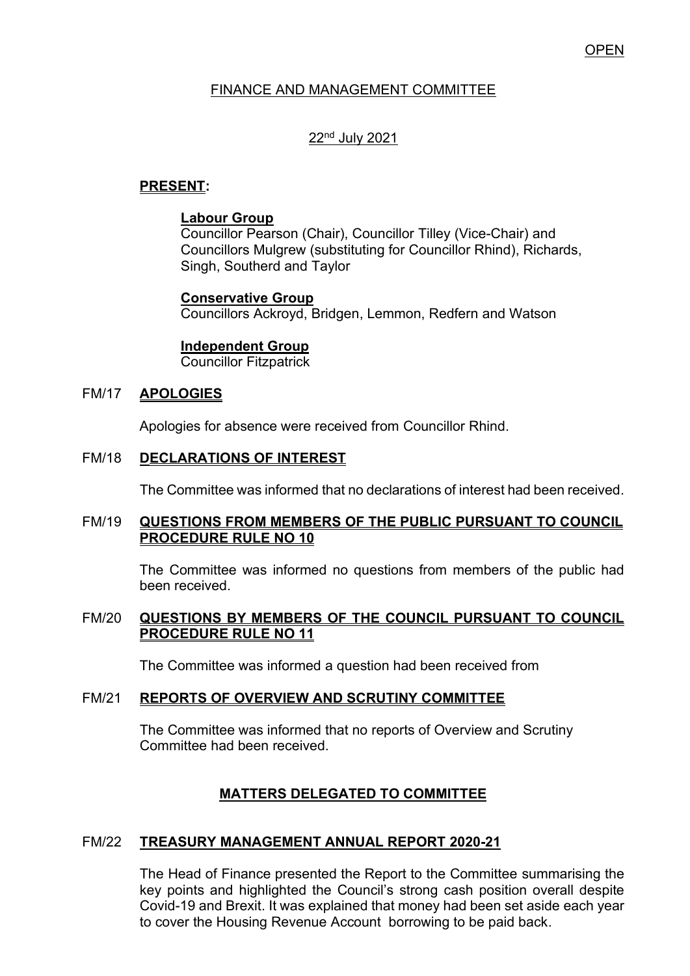# OPEN

### FINANCE AND MANAGEMENT COMMITTEE

# 22nd July 2021

# **PRESENT:**

### **Labour Group**

Councillor Pearson (Chair), Councillor Tilley (Vice-Chair) and Councillors Mulgrew (substituting for Councillor Rhind), Richards, Singh, Southerd and Taylor

### **Conservative Group**

Councillors Ackroyd, Bridgen, Lemmon, Redfern and Watson

### **Independent Group**

Councillor Fitzpatrick

#### FM/17 **APOLOGIES**

Apologies for absence were received from Councillor Rhind.

### FM/18 **DECLARATIONS OF INTEREST**

The Committee was informed that no declarations of interest had been received.

#### FM/19 **QUESTIONS FROM MEMBERS OF THE PUBLIC PURSUANT TO COUNCIL PROCEDURE RULE NO 10**

 The Committee was informed no questions from members of the public had been received.

#### FM/20 **QUESTIONS BY MEMBERS OF THE COUNCIL PURSUANT TO COUNCIL PROCEDURE RULE NO 11**

The Committee was informed a question had been received from

#### FM/21 **REPORTS OF OVERVIEW AND SCRUTINY COMMITTEE**

The Committee was informed that no reports of Overview and Scrutiny Committee had been received.

### **MATTERS DELEGATED TO COMMITTEE**

### FM/22 **TREASURY MANAGEMENT ANNUAL REPORT 2020-21**

The Head of Finance presented the Report to the Committee summarising the key points and highlighted the Council's strong cash position overall despite Covid-19 and Brexit. It was explained that money had been set aside each year to cover the Housing Revenue Account borrowing to be paid back.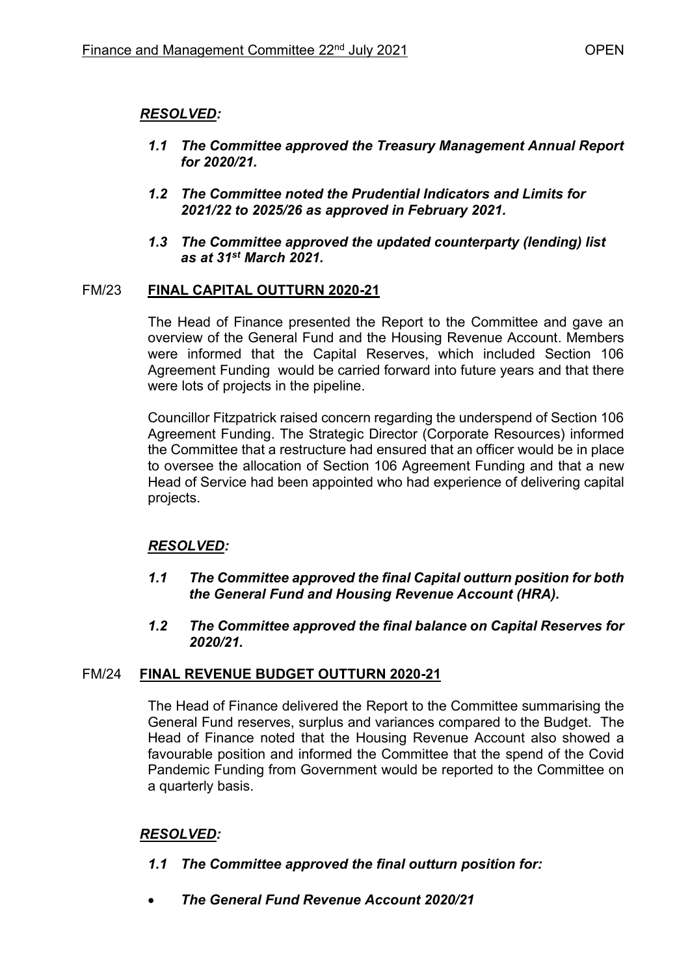# *RESOLVED:*

- *1.1 The Committee approved the Treasury Management Annual Report for 2020/21.*
- *1.2 The Committee noted the Prudential Indicators and Limits for 2021/22 to 2025/26 as approved in February 2021.*
- *1.3 The Committee approved the updated counterparty (lending) list as at 31st March 2021.*

# FM/23 **FINAL CAPITAL OUTTURN 2020-21**

The Head of Finance presented the Report to the Committee and gave an overview of the General Fund and the Housing Revenue Account. Members were informed that the Capital Reserves, which included Section 106 Agreement Funding would be carried forward into future years and that there were lots of projects in the pipeline.

Councillor Fitzpatrick raised concern regarding the underspend of Section 106 Agreement Funding. The Strategic Director (Corporate Resources) informed the Committee that a restructure had ensured that an officer would be in place to oversee the allocation of Section 106 Agreement Funding and that a new Head of Service had been appointed who had experience of delivering capital projects.

# *RESOLVED:*

- *1.1 The Committee approved the final Capital outturn position for both the General Fund and Housing Revenue Account (HRA).*
- *1.2 The Committee approved the final balance on Capital Reserves for 2020/21.*

# FM/24 **FINAL REVENUE BUDGET OUTTURN 2020-21**

The Head of Finance delivered the Report to the Committee summarising the General Fund reserves, surplus and variances compared to the Budget. The Head of Finance noted that the Housing Revenue Account also showed a favourable position and informed the Committee that the spend of the Covid Pandemic Funding from Government would be reported to the Committee on a quarterly basis.

# *RESOLVED:*

# *1.1 The Committee approved the final outturn position for:*

• *The General Fund Revenue Account 2020/21*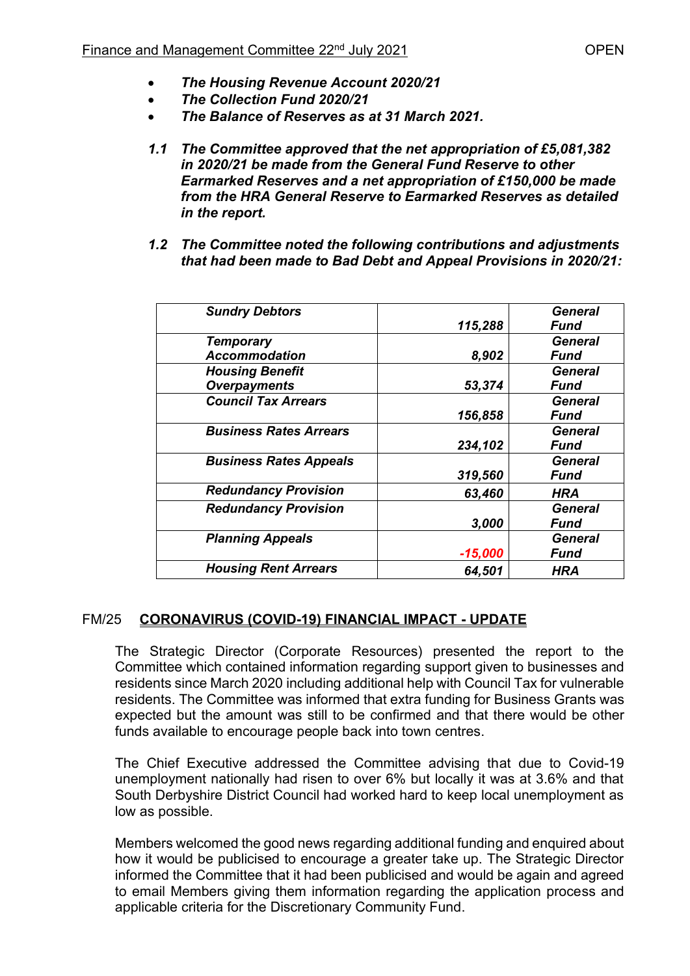- *The Housing Revenue Account 2020/21*
- *The Collection Fund 2020/21*
- *The Balance of Reserves as at 31 March 2021.*
- *1.1 The Committee approved that the net appropriation of £5,081,382 in 2020/21 be made from the General Fund Reserve to other Earmarked Reserves and a net appropriation of £150,000 be made from the HRA General Reserve to Earmarked Reserves as detailed in the report.*
- *1.2 The Committee noted the following contributions and adjustments that had been made to Bad Debt and Appeal Provisions in 2020/21:*

| <b>Sundry Debtors</b>         |           | <b>General</b> |
|-------------------------------|-----------|----------------|
|                               | 115,288   | Fund           |
| <b>Temporary</b>              |           | General        |
| <b>Accommodation</b>          | 8,902     | Fund           |
| <b>Housing Benefit</b>        |           | <b>General</b> |
| <b>Overpayments</b>           | 53,374    | Fund           |
| <b>Council Tax Arrears</b>    |           | <b>General</b> |
|                               | 156,858   | Fund           |
| <b>Business Rates Arrears</b> |           | General        |
|                               | 234,102   | Fund           |
| <b>Business Rates Appeals</b> |           | <b>General</b> |
|                               | 319,560   | Fund           |
| <b>Redundancy Provision</b>   | 63,460    | <b>HRA</b>     |
| <b>Redundancy Provision</b>   |           | General        |
|                               | 3,000     | Fund           |
| <b>Planning Appeals</b>       |           | General        |
|                               | $-15,000$ | Fund           |
| <b>Housing Rent Arrears</b>   | 64,501    | HRA            |
|                               |           |                |

# FM/25 **CORONAVIRUS (COVID-19) FINANCIAL IMPACT - UPDATE**

The Strategic Director (Corporate Resources) presented the report to the Committee which contained information regarding support given to businesses and residents since March 2020 including additional help with Council Tax for vulnerable residents. The Committee was informed that extra funding for Business Grants was expected but the amount was still to be confirmed and that there would be other funds available to encourage people back into town centres.

The Chief Executive addressed the Committee advising that due to Covid-19 unemployment nationally had risen to over 6% but locally it was at 3.6% and that South Derbyshire District Council had worked hard to keep local unemployment as low as possible.

Members welcomed the good news regarding additional funding and enquired about how it would be publicised to encourage a greater take up. The Strategic Director informed the Committee that it had been publicised and would be again and agreed to email Members giving them information regarding the application process and applicable criteria for the Discretionary Community Fund.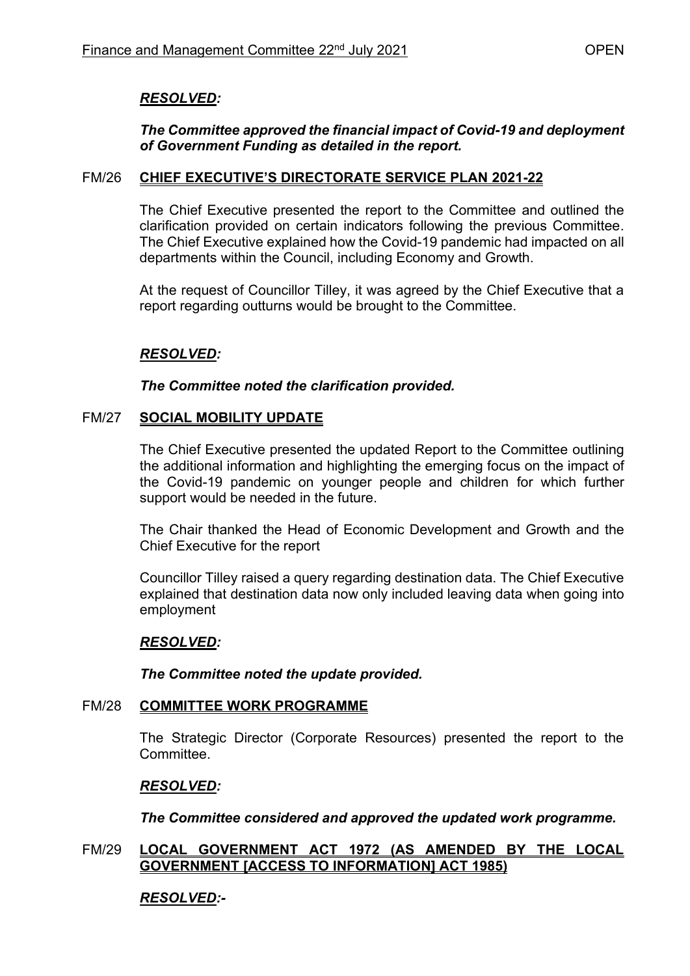# *RESOLVED:*

# *The Committee approved the financial impact of Covid-19 and deployment of Government Funding as detailed in the report.*

### FM/26 **CHIEF EXECUTIVE'S DIRECTORATE SERVICE PLAN 2021-22**

The Chief Executive presented the report to the Committee and outlined the clarification provided on certain indicators following the previous Committee. The Chief Executive explained how the Covid-19 pandemic had impacted on all departments within the Council, including Economy and Growth.

At the request of Councillor Tilley, it was agreed by the Chief Executive that a report regarding outturns would be brought to the Committee.

# *RESOLVED:*

# *The Committee noted the clarification provided.*

### FM/27 **SOCIAL MOBILITY UPDATE**

The Chief Executive presented the updated Report to the Committee outlining the additional information and highlighting the emerging focus on the impact of the Covid-19 pandemic on younger people and children for which further support would be needed in the future.

The Chair thanked the Head of Economic Development and Growth and the Chief Executive for the report

Councillor Tilley raised a query regarding destination data. The Chief Executive explained that destination data now only included leaving data when going into employment

### *RESOLVED:*

*The Committee noted the update provided.* 

### FM/28 **COMMITTEE WORK PROGRAMME**

The Strategic Director (Corporate Resources) presented the report to the Committee.

### *RESOLVED:*

*The Committee considered and approved the updated work programme.* 

### FM/29 **LOCAL GOVERNMENT ACT 1972 (AS AMENDED BY THE LOCAL GOVERNMENT [ACCESS TO INFORMATION] ACT 1985)**

### *RESOLVED:-*